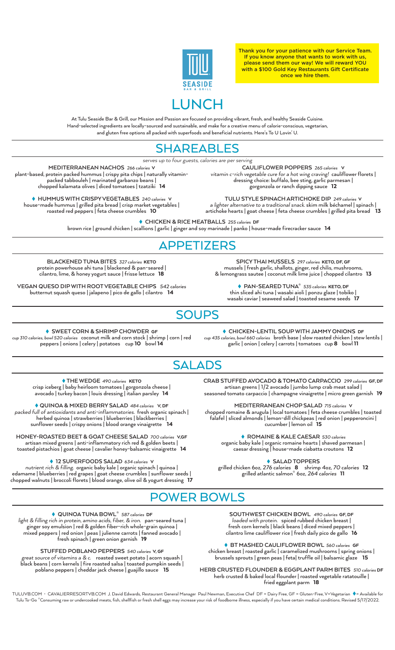

Thank you for your patience with our Service Team. If you know anyone that wants to work with us, please send them our way! We will reward YOU with a \$100 Gold Key Restaurants Gift Certificate once we hire them.

At Tulu Seaside Bar & Grill, our Mission and Passion are focused on providing vibrant, fresh, and healthy Seaside Cuisine. Hand-selected ingredients are locally-sourced and sustainable, and make for a creative menu of calorie-conscious, vegetarian, and gluten free options all packed with superfoods and beneficial nutrients. Here's To U Lovin' U.

## SHAREABLES

*serves up to four guests, calories are per serving*

**MEDITERRANEAN NACHOS** 266 calories V plant-based, protein packed hummus | crispy pita chips | naturally vitaminpacked tabbouleh | marinated garbanzo beans | chopped kalamata olives | diced tomatoes | tzatziki 14

 **HUMMUS WITH CRISPY VEGETABLES** 240 caloriesV house-made hummus | grilled pita bread | crisp market vegetables | roasted red peppers | feta cheese crumbles 10

**CAULIFLOWER POPPERS** 265 caloriesV *vitamin c-rich vegetable cure for a hot wing craving!* cauliflower florets | dressing choice: buffalo, bee sting, garlic parmesan | gorgonzola or ranch dipping sauce 12

**TULU STYLE SPINACH ARTICHOKE DIP** 249 calories V *a lighter alternative to a traditional snack.* skim milk béchamel | spinach | artichoke hearts | goat cheese | feta cheese crumbles | grilled pita bread 13

 **CHICKEN & RICE MEATBALLS** 255 calories DF brown rice | ground chicken | scallions | garlic | ginger and soy marinade | panko | house-made firecracker sauce 14

## APPETIZERS

**BLACKENED TUNA BITES** 327 caloriesKETO protein powerhouse ahi tuna | blackened & pan-seared | cilantro, lime, & honey yogurt sauce | frisse lettuce18

**VEGAN QUESO DIP WITH ROOT VEGETABLE CHIPS** 542 calories butternut squash queso | jalapeno | pico de gallo | cilantro 14

**SPICY THAI MUSSELS** 297 caloriesKETO, DF, GF mussels | fresh garlic, shallots, ginger, red chilis, mushrooms, & lemongrass sautee | coconut milk lime juice | chopped cilantro  $\,$  13  $\,$ 

 **PAN-SEARED TUNA\*** 535 caloriesKETO, DF thin sliced ahi tuna | wasabi aioli | ponzu glaze | tobiko | wasabi caviar | seaweed salad | toasted sesame seeds 17

## **SOUPS**

 **SWEET CORN & SHRIMP CHOWDER** GF cup 310 calories, bowl 520 caloriescoconut milk and corn stock | shrimp | corn | red peppers | onions | celery | potatoes cup 10 bowl 14

 **CHICKEN-LENTIL SOUP WITH JAMMY ONIONS** DF cup 435 calories, bowl 660 caloriesbroth base | slow roasted chicken | stew lentils | garlic | onion | celery | carrots | tomatoes cup 8 bowl 11

# SALADS

 **THE WEDGE** 490 caloriesKETO crisp iceberg | baby heirloom tomatoes | gorgonzola cheese | avocado | turkey bacon | louis dressing | italian parsley 14

 **QUINOA & MIXED BERRY SALAD** 484 caloriesV, DF *packed full of antioxidants and anti-inflammatories.* fresh organic spinach | herbed quinoa | strawberries | blueberries | blackberries |<br>unflower seeds | crispy opions | blood orange vinaigrette | 14 sunflower seeds | crispy onions | blood orange vinaigrette

**HONEY-ROASTED BEET & GOAT CHEESE SALAD** 700 caloriesV,GF artisan mixed greens | anti-inflammatory rich red & golden beets | toasted pistachios | goat cheese | cavalier honey-balsamic vinaigrette 14

 **12 SUPERFOODS SALAD** 634 caloriesV

*nutrient rich & filling.* organic baby kale | organic spinach | quinoa | edamame | blueberries | red grapes | goat cheese crumbles | sunflower seeds | chopped walnuts | broccoli florets | blood orange, olive oil & yogurt dressing 17 **CRAB STUFFED AVOCADO & TOMATO CARPACCIO** 299 caloriesGF, DF artisan greens | 1/2 avocado | jumbo lump crab meat salad | seasoned tomato carpaccio | champagne vinaigrette | micro green garnish 19

**MEDITERRANEAN CHOP SALAD** 715 caloriesV chopped romaine & arugula | local tomatoes | feta cheese crumbles | toasted falafel | sliced almonds | lemon-dill chickpeas | red onion | pepperoncini | cucumber | lemon oil 15

> **ROMAINE & KALE CAESAR** 530 calories organic baby kale | organic romaine hearts | shaved parmesan | caesar dressing | house-made ciabatta croutons12

> > **SALAD TOPPERS**

grilled chicken 6oz, 276 calories 8 shrimp 4oz, 70 calories 12 grilled atlantic salmon\* 6oz, 264 calories 11

## POWER BOWLS

 **QUINOA TUNA BOWL\*** 587 calories DF

*light & filling rich in protein, amino acids, fiber, & iron.* pan-seared tuna | ginger soy emulsion | red & golden fiber-rich whole-grain quinoa | mixed peppers | red onion | peas | julienne carrots | fanned avocado | fresh spinach | green onion garnish 19

**STUFFED POBLANO PEPPERS** 540 caloriesV, GF *great source of vitamins a & c.* roasted sweet potato | acorn squash | black beans | corn kernels | fire roasted salsa | toasted pumpkin seeds | poblano peppers | cheddar jack cheese | guajillo sauce 15

**SOUTHWEST CHICKEN BOWL** 490 caloriesGF, DF *loaded with protein.* spiced rubbed chicken breast | fresh corn kernels | black beans | diced mixed peppers | cilantro lime cauliflower rice | fresh daily pico de gallo 16

 **BT MASHED CAULIFLOWER BOWL** 560 caloriesGF chicken breast | roasted garlic | caramelized mushrooms | spring onions | brussels sprouts | green peas | feta| truffle oil | balsamic glaze 15

**HERB CRUSTED FLOUNDER & EGGPLANT PARM BITES** 510 calories DF herb crusted & baked local flounder | roasted vegetable ratatouille | fried eggplant parm 18

TULUVB.COM · CAVALIERRESORTVB.COM J. David Edwards, Restaurant General Manager Paul Newman, Executive Chef DF = Dairy Free, GF = Gluten-Free, V=Vegetarian ♦ = Available for Tulu To-Go \*Consuming raw or undercooked meats, fish, shellfish or fresh shell eggs may increase your risk of foodborne illness, especially if you have certain medical conditions. Revised 5/17/2022.